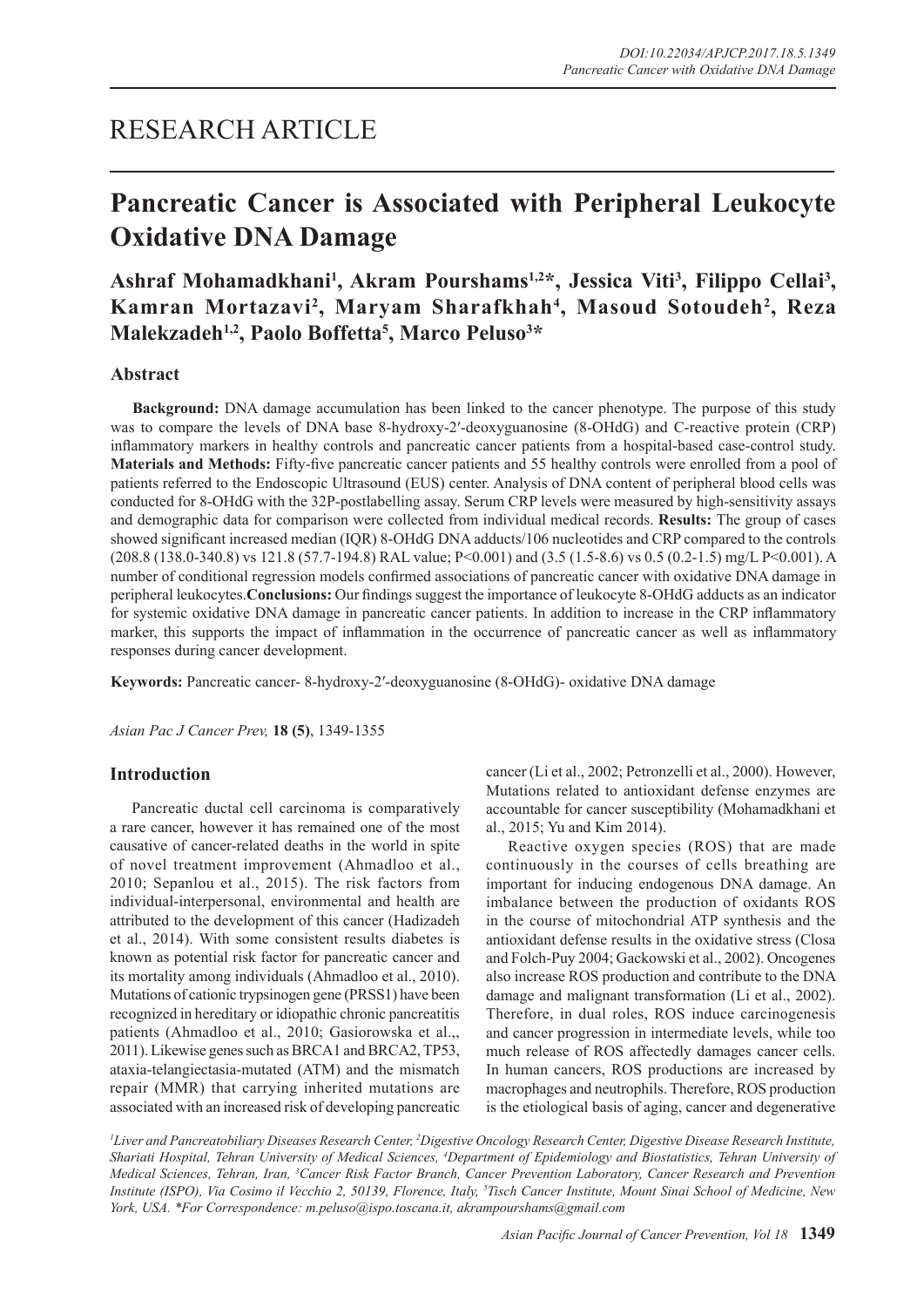# RESEARCH ARTICLE

# **Pancreatic Cancer is Associated with Peripheral Leukocyte Oxidative DNA Damage**

Ashraf Mohamadkhani<sup>1</sup>, Akram Pourshams<sup>1,2\*</sup>, Jessica Viti<sup>3</sup>, Filippo Cellai<sup>3</sup>, **Kamran Mortazavi2 , Maryam Sharafkhah4 , Masoud Sotoudeh2 , Reza Malekzadeh1,2, Paolo Boffetta5 , Marco Peluso3 \***

# **Abstract**

**Background:** DNA damage accumulation has been linked to the cancer phenotype. The purpose of this study was to compare the levels of DNA base 8-hydroxy-2'-deoxyguanosine (8-OHdG) and C-reactive protein (CRP) inflammatory markers in healthy controls and pancreatic cancer patients from a hospital-based case-control study. **Materials and Methods:** Fifty-five pancreatic cancer patients and 55 healthy controls were enrolled from a pool of patients referred to the Endoscopic Ultrasound (EUS) center. Analysis of DNA content of peripheral blood cells was conducted for 8-OHdG with the 32P-postlabelling assay. Serum CRP levels were measured by high-sensitivity assays and demographic data for comparison were collected from individual medical records. **Results:** The group of cases showed significant increased median (IQR) 8-OHdG DNA adducts/106 nucleotides and CRP compared to the controls (208.8 (138.0-340.8) vs 121.8 (57.7-194.8) RAL value; P<0.001) and (3.5 (1.5-8.6) vs 0.5 (0.2-1.5) mg/L P<0.001). A number of conditional regression models confirmed associations of pancreatic cancer with oxidative DNA damage in peripheral leukocytes.**Conclusions:** Our findings suggest the importance of leukocyte 8-OHdG adducts as an indicator for systemic oxidative DNA damage in pancreatic cancer patients. In addition to increase in the CRP inflammatory marker, this supports the impact of inflammation in the occurrence of pancreatic cancer as well as inflammatory responses during cancer development.

**Keywords:** Pancreatic cancer- 8-hydroxy-2′-deoxyguanosine (8-OHdG)- oxidative DNA damage

*Asian Pac J Cancer Prev,* **18 (5)**, 1349-1355

# **Introduction**

Pancreatic ductal cell carcinoma is comparatively a rare cancer, however it has remained one of the most causative of cancer-related deaths in the world in spite of novel treatment improvement (Ahmadloo et al., 2010; Sepanlou et al., 2015). The risk factors from individual-interpersonal, environmental and health are attributed to the development of this cancer (Hadizadeh et al., 2014). With some consistent results diabetes is known as potential risk factor for pancreatic cancer and its mortality among individuals (Ahmadloo et al., 2010). Mutations of cationic trypsinogen gene (PRSS1) have been recognized in hereditary or idiopathic chronic pancreatitis patients (Ahmadloo et al., 2010; Gasiorowska et al.,, 2011). Likewise genes such as BRCA1 and BRCA2, TP53, ataxia-telangiectasia-mutated (ATM) and the mismatch repair (MMR) that carrying inherited mutations are associated with an increased risk of developing pancreatic cancer (Li et al., 2002; Petronzelli et al., 2000). However, Mutations related to antioxidant defense enzymes are accountable for cancer susceptibility (Mohamadkhani et al., 2015; Yu and Kim 2014).

Reactive oxygen species (ROS) that are made continuously in the courses of cells breathing are important for inducing endogenous DNA damage. An imbalance between the production of oxidants ROS in the course of mitochondrial ATP synthesis and the antioxidant defense results in the oxidative stress (Closa and Folch-Puy 2004; Gackowski et al., 2002). Oncogenes also increase ROS production and contribute to the DNA damage and malignant transformation (Li et al., 2002). Therefore, in dual roles, ROS induce carcinogenesis and cancer progression in intermediate levels, while too much release of ROS affectedly damages cancer cells. In human cancers, ROS productions are increased by macrophages and neutrophils. Therefore, ROS production is the etiological basis of aging, cancer and degenerative

<sup>1</sup>Liver and Pancreatobiliary Diseases Research Center, <sup>2</sup>Digestive Oncology Research Center, Digestive Disease Research Institute, *Shariati Hospital, Tehran University of Medical Sciences, 4 Department of Epidemiology and Biostatistics, Tehran University of Medical Sciences, Tehran, Iran, 3 Cancer Risk Factor Branch, Cancer Prevention Laboratory, Cancer Research and Prevention Institute (ISPO), Via Cosimo il Vecchio 2, 50139, Florence, Italy, 5 Tisch Cancer Institute, Mount Sinai School of Medicine, New York, USA. \*For Correspondence: m.peluso@ispo.toscana.it, akrampourshams@gmail.com*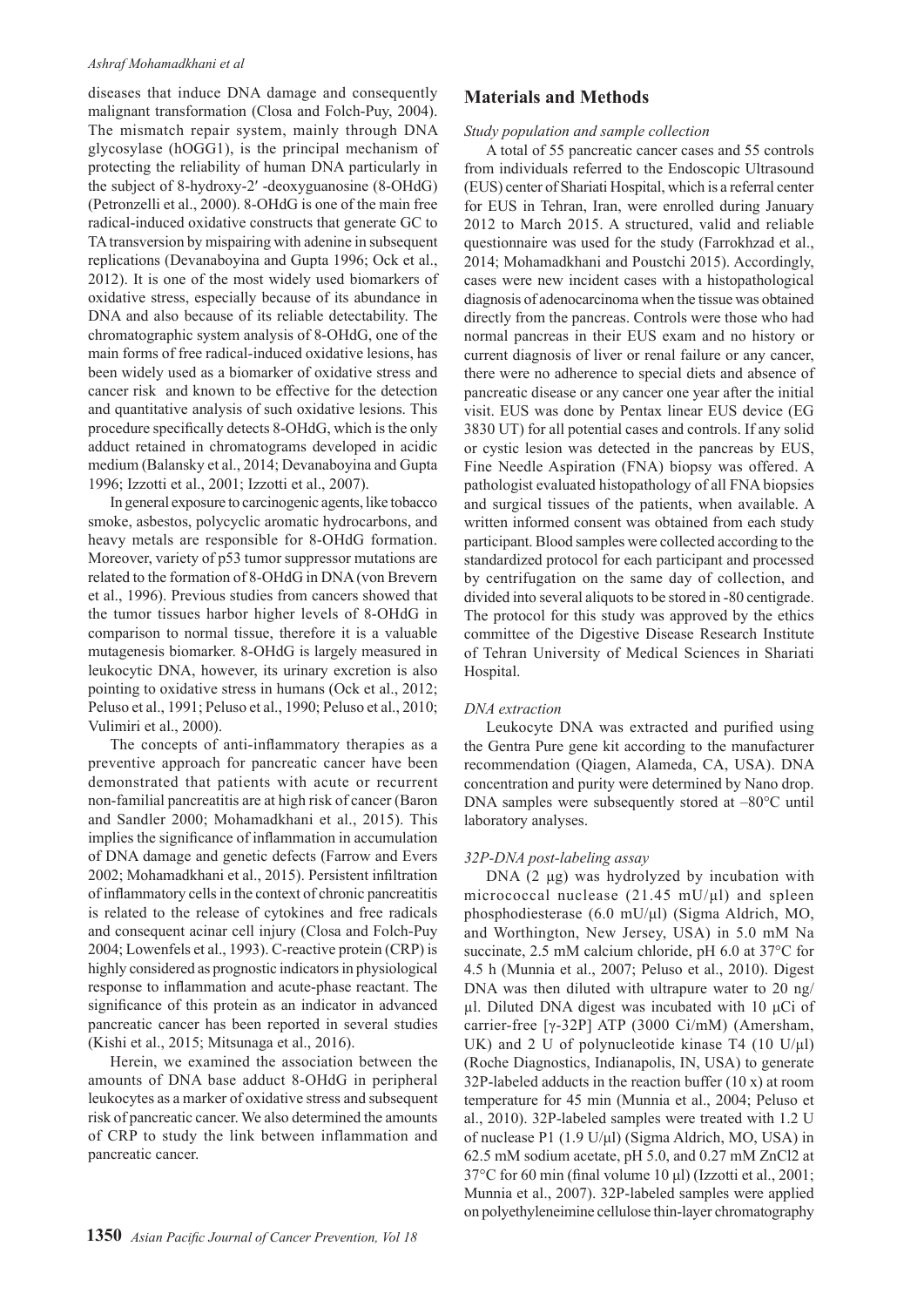#### *Ashraf Mohamadkhani et al*

diseases that induce DNA damage and consequently malignant transformation (Closa and Folch-Puy, 2004). The mismatch repair system, mainly through DNA glycosylase (hOGG1), is the principal mechanism of protecting the reliability of human DNA particularly in the subject of 8-hydroxy-2′ -deoxyguanosine (8-OHdG) (Petronzelli et al., 2000). 8-OHdG is one of the main free radical-induced oxidative constructs that generate GC to TA transversion by mispairing with adenine in subsequent replications (Devanaboyina and Gupta 1996; Ock et al., 2012). It is one of the most widely used biomarkers of oxidative stress, especially because of its abundance in DNA and also because of its reliable detectability. The chromatographic system analysis of 8-OHdG, one of the main forms of free radical-induced oxidative lesions, has been widely used as a biomarker of oxidative stress and cancer risk and known to be effective for the detection and quantitative analysis of such oxidative lesions. This procedure specifically detects 8-OHdG, which is the only adduct retained in chromatograms developed in acidic medium (Balansky et al., 2014; Devanaboyina and Gupta 1996; Izzotti et al., 2001; Izzotti et al., 2007).

In general exposure to carcinogenic agents, like tobacco smoke, asbestos, polycyclic aromatic hydrocarbons, and heavy metals are responsible for 8-OHdG formation. Moreover, variety of p53 tumor suppressor mutations are related to the formation of 8-OHdG in DNA (von Brevern et al., 1996). Previous studies from cancers showed that the tumor tissues harbor higher levels of 8-OHdG in comparison to normal tissue, therefore it is a valuable mutagenesis biomarker. 8-OHdG is largely measured in leukocytic DNA, however, its urinary excretion is also pointing to oxidative stress in humans (Ock et al., 2012; Peluso et al., 1991; Peluso et al., 1990; Peluso et al., 2010; Vulimiri et al., 2000).

The concepts of anti-inflammatory therapies as a preventive approach for pancreatic cancer have been demonstrated that patients with acute or recurrent non-familial pancreatitis are at high risk of cancer (Baron and Sandler 2000; Mohamadkhani et al., 2015). This implies the significance of inflammation in accumulation of DNA damage and genetic defects (Farrow and Evers 2002; Mohamadkhani et al., 2015). Persistent infiltration of inflammatory cells in the context of chronic pancreatitis is related to the release of cytokines and free radicals and consequent acinar cell injury (Closa and Folch-Puy 2004; Lowenfels et al., 1993). C-reactive protein (CRP) is highly considered as prognostic indicators in physiological response to inflammation and acute-phase reactant. The significance of this protein as an indicator in advanced pancreatic cancer has been reported in several studies (Kishi et al., 2015; Mitsunaga et al., 2016).

Herein, we examined the association between the amounts of DNA base adduct 8-OHdG in peripheral leukocytes as a marker of oxidative stress and subsequent risk of pancreatic cancer. We also determined the amounts of CRP to study the link between inflammation and pancreatic cancer.

# **Materials and Methods**

### *Study population and sample collection*

A total of 55 pancreatic cancer cases and 55 controls from individuals referred to the Endoscopic Ultrasound (EUS) center of Shariati Hospital, which is a referral center for EUS in Tehran, Iran, were enrolled during January 2012 to March 2015. A structured, valid and reliable questionnaire was used for the study (Farrokhzad et al., 2014; Mohamadkhani and Poustchi 2015). Accordingly, cases were new incident cases with a histopathological diagnosis of adenocarcinoma when the tissue was obtained directly from the pancreas. Controls were those who had normal pancreas in their EUS exam and no history or current diagnosis of liver or renal failure or any cancer, there were no adherence to special diets and absence of pancreatic disease or any cancer one year after the initial visit. EUS was done by Pentax linear EUS device (EG 3830 UT) for all potential cases and controls. If any solid or cystic lesion was detected in the pancreas by EUS, Fine Needle Aspiration (FNA) biopsy was offered. A pathologist evaluated histopathology of all FNA biopsies and surgical tissues of the patients, when available. A written informed consent was obtained from each study participant. Blood samples were collected according to the standardized protocol for each participant and processed by centrifugation on the same day of collection, and divided into several aliquots to be stored in -80 centigrade. The protocol for this study was approved by the ethics committee of the Digestive Disease Research Institute of Tehran University of Medical Sciences in Shariati Hospital.

## *DNA extraction*

Leukocyte DNA was extracted and purified using the Gentra Pure gene kit according to the manufacturer recommendation (Qiagen, Alameda, CA, USA). DNA concentration and purity were determined by Nano drop. DNA samples were subsequently stored at –80°C until laboratory analyses.

## *32P-DNA post-labeling assay*

DNA (2 μg) was hydrolyzed by incubation with micrococcal nuclease  $(21.45 \text{ mU/}\mu l)$  and spleen phosphodiesterase (6.0 mU/μl) (Sigma Aldrich, MO, and Worthington, New Jersey, USA) in 5.0 mM Na succinate, 2.5 mM calcium chloride, pH 6.0 at 37°C for 4.5 h (Munnia et al., 2007; Peluso et al., 2010). Digest DNA was then diluted with ultrapure water to 20 ng/ μl. Diluted DNA digest was incubated with 10  $μ$ Ci of carrier-free [γ-32P] ATP (3000 Ci/mM) (Amersham, UK) and 2 U of polynucleotide kinase T4 (10 U/ $\mu$ l) (Roche Diagnostics, Indianapolis, IN, USA) to generate 32P-labeled adducts in the reaction buffer (10 x) at room temperature for 45 min (Munnia et al., 2004; Peluso et al., 2010). 32P-labeled samples were treated with 1.2 U of nuclease P1 (1.9 U/μl) (Sigma Aldrich, MO, USA) in 62.5 mM sodium acetate, pH 5.0, and 0.27 mM ZnCl2 at 37°C for 60 min (final volume 10 μl) (Izzotti et al., 2001; Munnia et al., 2007). 32P-labeled samples were applied on polyethyleneimine cellulose thin-layer chromatography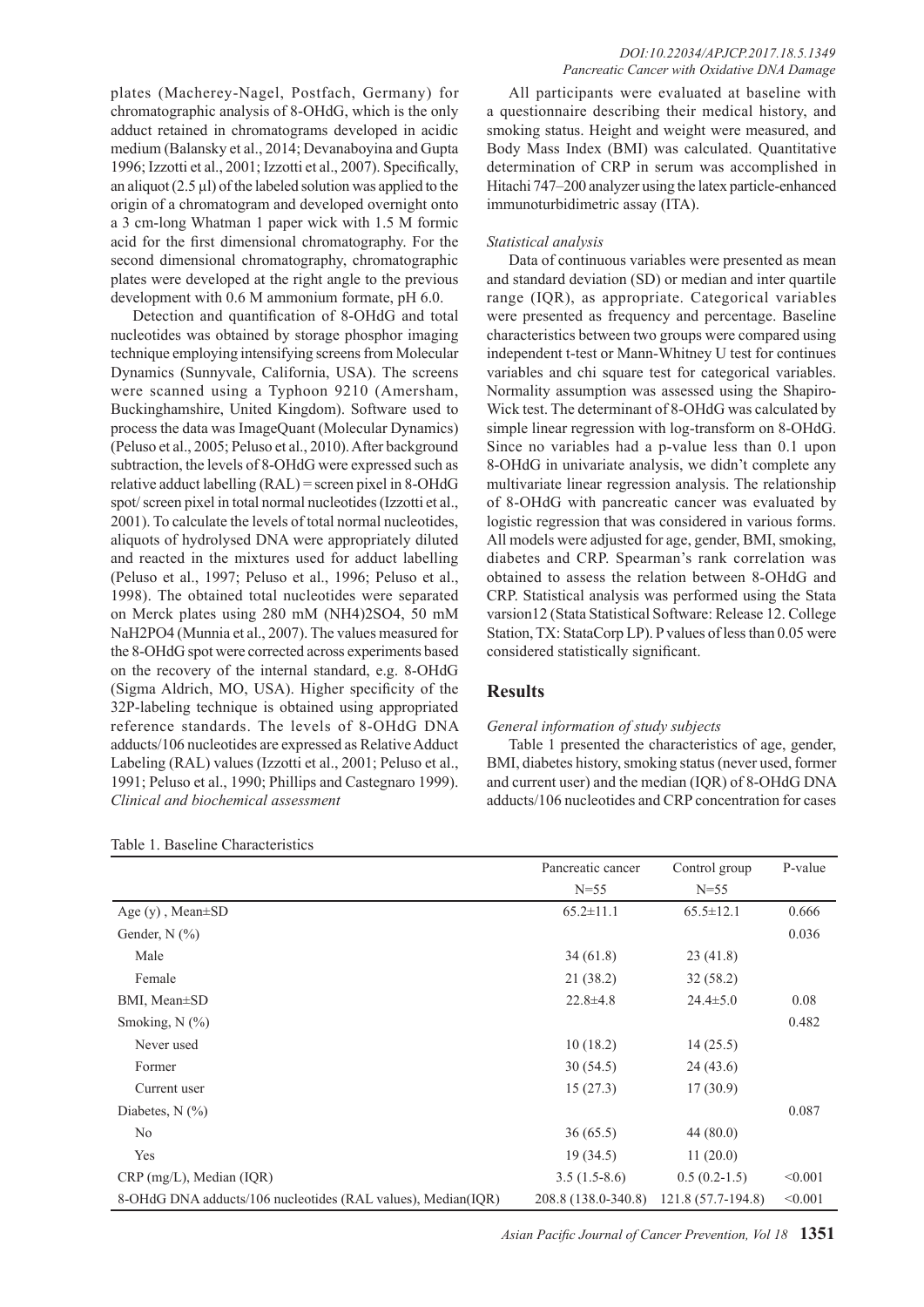plates (Macherey-Nagel, Postfach, Germany) for chromatographic analysis of 8-OHdG, which is the only adduct retained in chromatograms developed in acidic medium (Balansky et al., 2014; Devanaboyina and Gupta 1996; Izzotti et al., 2001; Izzotti et al., 2007). Specifically, an aliquot  $(2.5 \mu l)$  of the labeled solution was applied to the origin of a chromatogram and developed overnight onto a 3 cm-long Whatman 1 paper wick with 1.5 M formic acid for the first dimensional chromatography. For the second dimensional chromatography, chromatographic plates were developed at the right angle to the previous development with 0.6 M ammonium formate, pH 6.0.

Detection and quantification of 8-OHdG and total nucleotides was obtained by storage phosphor imaging technique employing intensifying screens from Molecular Dynamics (Sunnyvale, California, USA). The screens were scanned using a Typhoon 9210 (Amersham, Buckinghamshire, United Kingdom). Software used to process the data was ImageQuant (Molecular Dynamics) (Peluso et al., 2005; Peluso et al., 2010). After background subtraction, the levels of 8-OHdG were expressed such as relative adduct labelling (RAL) = screen pixel in 8-OHdG spot/ screen pixel in total normal nucleotides (Izzotti et al., 2001). To calculate the levels of total normal nucleotides, aliquots of hydrolysed DNA were appropriately diluted and reacted in the mixtures used for adduct labelling (Peluso et al., 1997; Peluso et al., 1996; Peluso et al., 1998). The obtained total nucleotides were separated on Merck plates using 280 mM (NH4)2SO4, 50 mM NaH2PO4 (Munnia et al., 2007). The values measured for the 8-OHdG spot were corrected across experiments based on the recovery of the internal standard, e.g. 8-OHdG (Sigma Aldrich, MO, USA). Higher specificity of the 32P-labeling technique is obtained using appropriated reference standards. The levels of 8-OHdG DNA adducts/106 nucleotides are expressed as Relative Adduct Labeling (RAL) values (Izzotti et al., 2001; Peluso et al., 1991; Peluso et al., 1990; Phillips and Castegnaro 1999). *Clinical and biochemical assessment*

Table 1. Baseline Characteristics

All participants were evaluated at baseline with a questionnaire describing their medical history, and smoking status. Height and weight were measured, and Body Mass Index (BMI) was calculated. Quantitative determination of CRP in serum was accomplished in Hitachi 747–200 analyzer using the latex particle-enhanced immunoturbidimetric assay (ITA).

### *Statistical analysis*

Data of continuous variables were presented as mean and standard deviation (SD) or median and inter quartile range (IQR), as appropriate. Categorical variables were presented as frequency and percentage. Baseline characteristics between two groups were compared using independent t-test or Mann-Whitney U test for continues variables and chi square test for categorical variables. Normality assumption was assessed using the Shapiro-Wick test. The determinant of 8-OHdG was calculated by simple linear regression with log-transform on 8-OHdG. Since no variables had a p-value less than 0.1 upon 8-OHdG in univariate analysis, we didn't complete any multivariate linear regression analysis. The relationship of 8-OHdG with pancreatic cancer was evaluated by logistic regression that was considered in various forms. All models were adjusted for age, gender, BMI, smoking, diabetes and CRP. Spearman's rank correlation was obtained to assess the relation between 8-OHdG and CRP. Statistical analysis was performed using the Stata varsion12 (Stata Statistical Software: Release 12. College Station, TX: StataCorp LP). P values of less than 0.05 were considered statistically significant.

## **Results**

#### *General information of study subjects*

Table 1 presented the characteristics of age, gender, BMI, diabetes history, smoking status (never used, former and current user) and the median (IQR) of 8-OHdG DNA adducts/106 nucleotides and CRP concentration for cases

|                                                              | Pancreatic cancer   | Control group      | P-value |
|--------------------------------------------------------------|---------------------|--------------------|---------|
|                                                              | $N=55$              | $N = 55$           |         |
| Age $(y)$ , Mean $\pm$ SD                                    | $65.2 \pm 11.1$     | $65.5 \pm 12.1$    | 0.666   |
| Gender, $N$ $(\%)$                                           |                     |                    | 0.036   |
| Male                                                         | 34(61.8)            | 23(41.8)           |         |
| Female                                                       | 21 (38.2)           | 32(58.2)           |         |
| BMI, Mean±SD                                                 | $22.8 \pm 4.8$      | $24.4 \pm 5.0$     | 0.08    |
| Smoking, $N$ $(\%)$                                          |                     |                    | 0.482   |
| Never used                                                   | 10(18.2)            | 14(25.5)           |         |
| Former                                                       | 30(54.5)            | 24(43.6)           |         |
| Current user                                                 | 15(27.3)            | 17(30.9)           |         |
| Diabetes, $N$ $(\%)$                                         |                     |                    | 0.087   |
| N <sub>0</sub>                                               | 36(65.5)            | 44(80.0)           |         |
| Yes                                                          | 19(34.5)            | 11(20.0)           |         |
| $CRP$ (mg/L), Median (IQR)                                   | $3.5(1.5-8.6)$      | $0.5(0.2-1.5)$     | < 0.001 |
| 8-OHdG DNA adducts/106 nucleotides (RAL values), Median(IQR) | 208.8 (138.0-340.8) | 121.8 (57.7-194.8) | < 0.001 |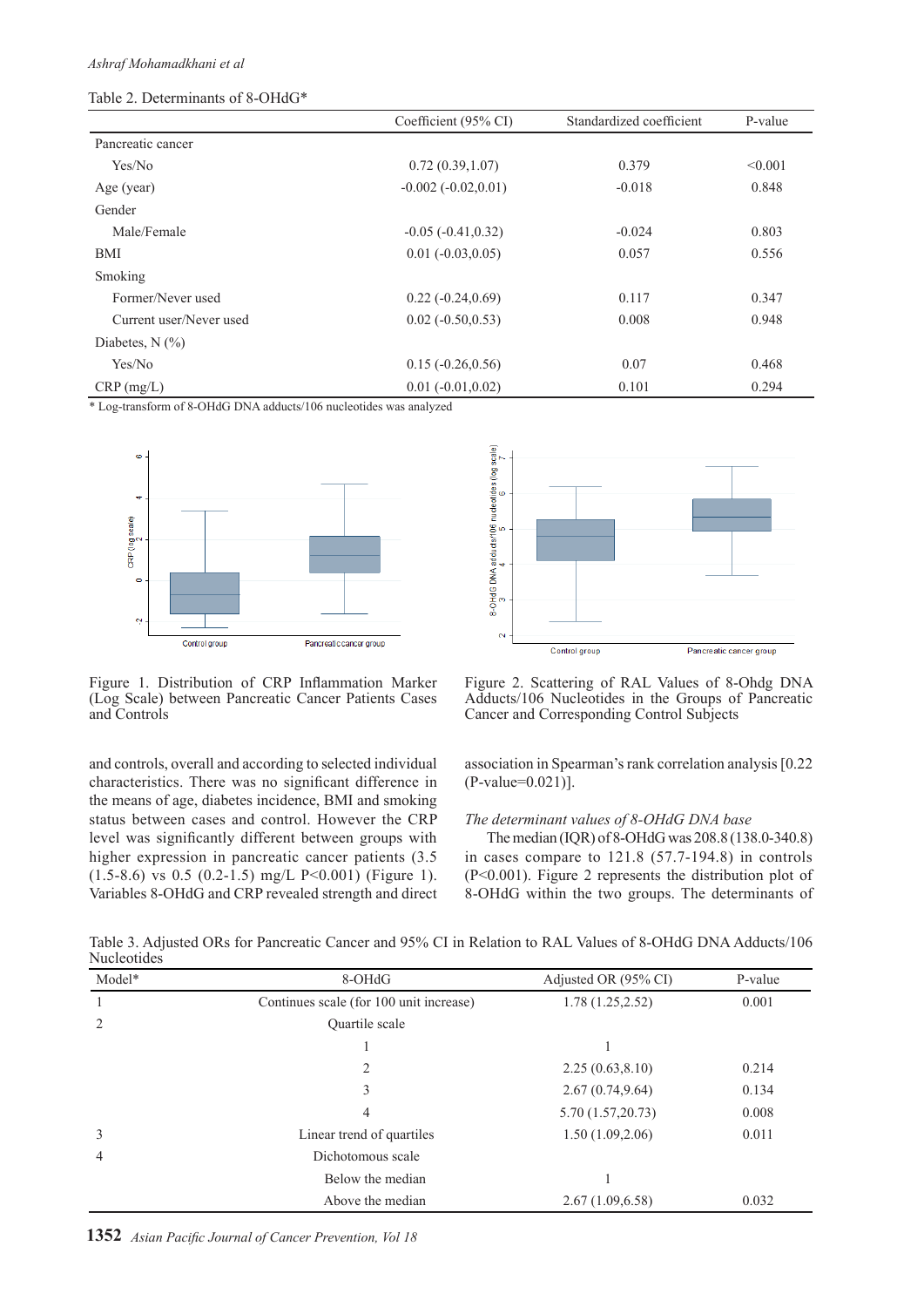## Table 2. Determinants of 8-OHdG\*

|                         | Coefficient (95% CI)  | Standardized coefficient | P-value |
|-------------------------|-----------------------|--------------------------|---------|
| Pancreatic cancer       |                       |                          |         |
| Yes/No                  | 0.72(0.39, 1.07)      | 0.379                    | < 0.001 |
| Age (year)              | $-0.002(-0.02, 0.01)$ | $-0.018$                 | 0.848   |
| Gender                  |                       |                          |         |
| Male/Female             | $-0.05(-0.41, 0.32)$  | $-0.024$                 | 0.803   |
| <b>BMI</b>              | $0.01 (-0.03, 0.05)$  | 0.057                    | 0.556   |
| Smoking                 |                       |                          |         |
| Former/Never used       | $0.22(-0.24, 0.69)$   | 0.117                    | 0.347   |
| Current user/Never used | $0.02 (-0.50, 0.53)$  | 0.008                    | 0.948   |
| Diabetes, $N$ $(\%)$    |                       |                          |         |
| Yes/No                  | $0.15(-0.26, 0.56)$   | 0.07                     | 0.468   |
| $CRP$ (mg/L)            | $0.01 (-0.01, 0.02)$  | 0.101                    | 0.294   |

\* Log-transform of 8-OHdG DNA adducts/106 nucleotides was analyzed





Figure 1. Distribution of CRP Inflammation Marker (Log Scale) between Pancreatic Cancer Patients Cases and Controls

and controls, overall and according to selected individual characteristics. There was no significant difference in the means of age, diabetes incidence, BMI and smoking status between cases and control. However the CRP level was significantly different between groups with higher expression in pancreatic cancer patients (3.5  $(1.5-8.6)$  vs 0.5  $(0.2-1.5)$  mg/L P<0.001) (Figure 1). Variables 8-OHdG and CRP revealed strength and direct

Figure 2. Scattering of RAL Values of 8-Ohdg DNA Adducts/106 Nucleotides in the Groups of Pancreatic Cancer and Corresponding Control Subjects

association in Spearman's rank correlation analysis [0.22 (P-value=0.021)].

## *The determinant values of 8-OHdG DNA base*

The median (IQR) of 8-OHdG was 208.8 (138.0-340.8) in cases compare to 121.8 (57.7-194.8) in controls (P<0.001). Figure 2 represents the distribution plot of 8-OHdG within the two groups. The determinants of

Table 3. Adjusted ORs for Pancreatic Cancer and 95% CI in Relation to RAL Values of 8-OHdG DNA Adducts/106 Nucleotides

| Model*         | 8-OHdG                                  | Adjusted OR (95% CI) | P-value |
|----------------|-----------------------------------------|----------------------|---------|
|                | Continues scale (for 100 unit increase) | 1.78(1.25, 2.52)     | 0.001   |
| $\overline{2}$ | Quartile scale                          |                      |         |
|                |                                         |                      |         |
|                | 2                                       | 2.25(0.63, 8.10)     | 0.214   |
|                | 3                                       | 2.67(0.74, 9.64)     | 0.134   |
|                | 4                                       | 5.70 (1.57,20.73)    | 0.008   |
| 3              | Linear trend of quartiles               | 1.50(1.09, 2.06)     | 0.011   |
| 4              | Dichotomous scale                       |                      |         |
|                | Below the median                        |                      |         |
|                | Above the median                        | 2.67(1.09, 6.58)     | 0.032   |

**1352** *Asian Pacific Journal of Cancer Prevention, Vol 18*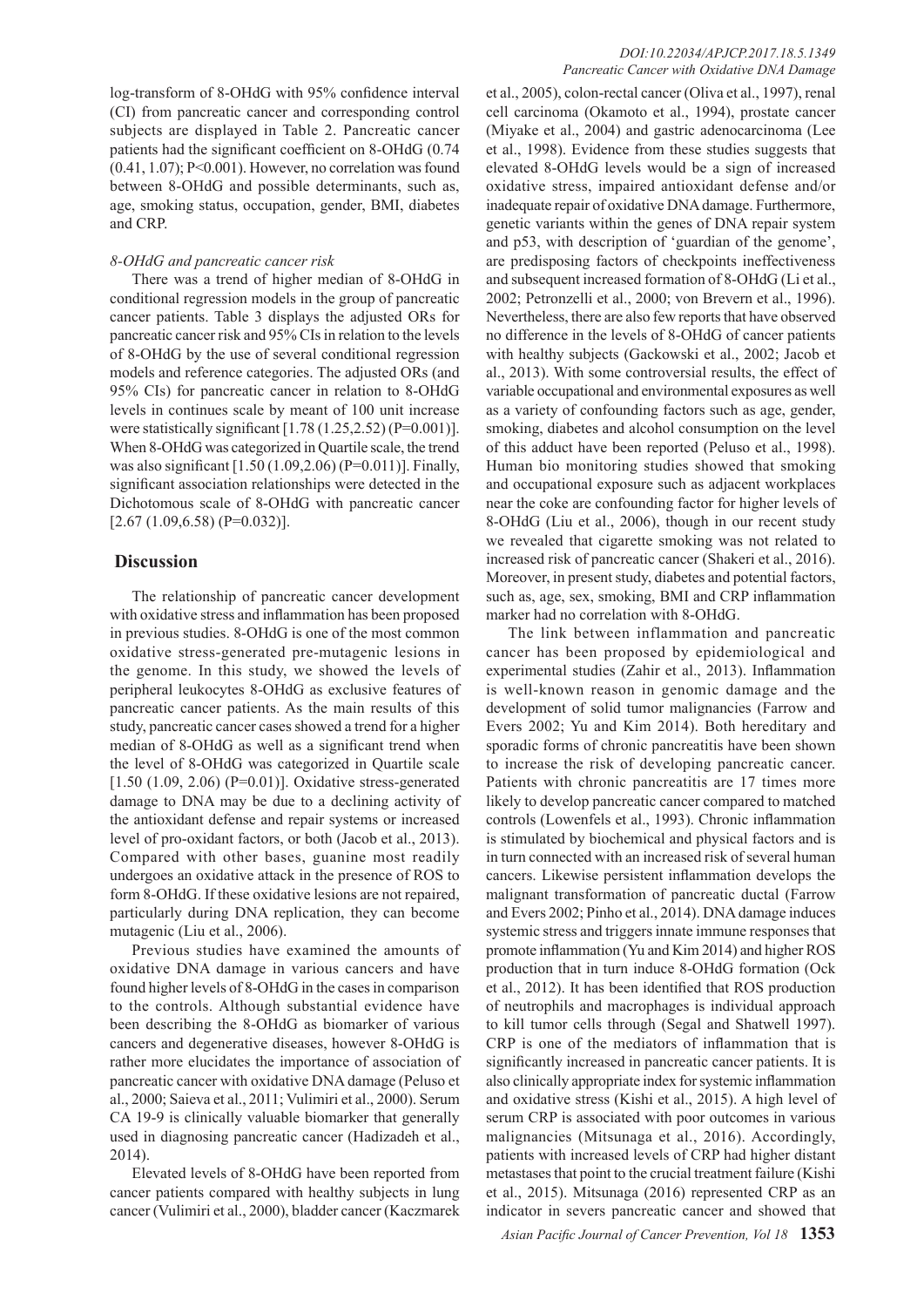log-transform of 8-OHdG with 95% confidence interval (CI) from pancreatic cancer and corresponding control subjects are displayed in Table 2. Pancreatic cancer patients had the significant coefficient on 8-OHdG (0.74  $(0.41, 1.07)$ ; P<0.001). However, no correlation was found between 8-OHdG and possible determinants, such as, age, smoking status, occupation, gender, BMI, diabetes and CRP.

### *8-OHdG and pancreatic cancer risk*

There was a trend of higher median of 8-OHdG in conditional regression models in the group of pancreatic cancer patients. Table 3 displays the adjusted ORs for pancreatic cancer risk and 95% CIs in relation to the levels of 8-OHdG by the use of several conditional regression models and reference categories. The adjusted ORs (and 95% CIs) for pancreatic cancer in relation to 8-OHdG levels in continues scale by meant of 100 unit increase were statistically significant  $[1.78 (1.25, 2.52) (P=0.001)].$ When 8-OHdG was categorized in Quartile scale, the trend was also significant [1.50 (1.09,2.06) (P=0.011)]. Finally, significant association relationships were detected in the Dichotomous scale of 8-OHdG with pancreatic cancer  $[2.67 (1.09, 6.58) (P=0.032)].$ 

## **Discussion**

The relationship of pancreatic cancer development with oxidative stress and inflammation has been proposed in previous studies. 8-OHdG is one of the most common oxidative stress-generated pre-mutagenic lesions in the genome. In this study, we showed the levels of peripheral leukocytes 8-OHdG as exclusive features of pancreatic cancer patients. As the main results of this study, pancreatic cancer cases showed a trend for a higher median of 8-OHdG as well as a significant trend when the level of 8-OHdG was categorized in Quartile scale  $[1.50 (1.09, 2.06) (P=0.01)]$ . Oxidative stress-generated damage to DNA may be due to a declining activity of the antioxidant defense and repair systems or increased level of pro-oxidant factors, or both (Jacob et al., 2013). Compared with other bases, guanine most readily undergoes an oxidative attack in the presence of ROS to form 8-OHdG. If these oxidative lesions are not repaired, particularly during DNA replication, they can become mutagenic (Liu et al., 2006).

Previous studies have examined the amounts of oxidative DNA damage in various cancers and have found higher levels of 8-OHdG in the cases in comparison to the controls. Although substantial evidence have been describing the 8-OHdG as biomarker of various cancers and degenerative diseases, however 8-OHdG is rather more elucidates the importance of association of pancreatic cancer with oxidative DNA damage (Peluso et al., 2000; Saieva et al., 2011; Vulimiri et al., 2000). Serum CA 19-9 is clinically valuable biomarker that generally used in diagnosing pancreatic cancer (Hadizadeh et al., 2014).

Elevated levels of 8-OHdG have been reported from cancer patients compared with healthy subjects in lung cancer (Vulimiri et al., 2000), bladder cancer (Kaczmarek

et al., 2005), colon-rectal cancer (Oliva et al., 1997), renal cell carcinoma (Okamoto et al., 1994), prostate cancer (Miyake et al., 2004) and gastric adenocarcinoma (Lee et al., 1998). Evidence from these studies suggests that elevated 8-OHdG levels would be a sign of increased oxidative stress, impaired antioxidant defense and/or inadequate repair of oxidative DNA damage. Furthermore, genetic variants within the genes of DNA repair system and p53, with description of 'guardian of the genome', are predisposing factors of checkpoints ineffectiveness and subsequent increased formation of 8-OHdG (Li et al., 2002; Petronzelli et al., 2000; von Brevern et al., 1996). Nevertheless, there are also few reports that have observed no difference in the levels of 8-OHdG of cancer patients with healthy subjects (Gackowski et al., 2002; Jacob et al., 2013). With some controversial results, the effect of variable occupational and environmental exposures as well as a variety of confounding factors such as age, gender, smoking, diabetes and alcohol consumption on the level of this adduct have been reported (Peluso et al., 1998). Human bio monitoring studies showed that smoking and occupational exposure such as adjacent workplaces near the coke are confounding factor for higher levels of 8-OHdG (Liu et al., 2006), though in our recent study we revealed that cigarette smoking was not related to increased risk of pancreatic cancer (Shakeri et al., 2016). Moreover, in present study, diabetes and potential factors, such as, age, sex, smoking, BMI and CRP inflammation marker had no correlation with 8-OHdG.

The link between inflammation and pancreatic cancer has been proposed by epidemiological and experimental studies (Zahir et al., 2013). Inflammation is well-known reason in genomic damage and the development of solid tumor malignancies (Farrow and Evers 2002; Yu and Kim 2014). Both hereditary and sporadic forms of chronic pancreatitis have been shown to increase the risk of developing pancreatic cancer. Patients with chronic pancreatitis are 17 times more likely to develop pancreatic cancer compared to matched controls (Lowenfels et al., 1993). Chronic inflammation is stimulated by biochemical and physical factors and is in turn connected with an increased risk of several human cancers. Likewise persistent inflammation develops the malignant transformation of pancreatic ductal (Farrow and Evers 2002; Pinho et al., 2014). DNA damage induces systemic stress and triggers innate immune responses that promote inflammation (Yu and Kim 2014) and higher ROS production that in turn induce 8-OHdG formation (Ock et al., 2012). It has been identified that ROS production of neutrophils and macrophages is individual approach to kill tumor cells through (Segal and Shatwell 1997). CRP is one of the mediators of inflammation that is significantly increased in pancreatic cancer patients. It is also clinically appropriate index for systemic inflammation and oxidative stress (Kishi et al., 2015). A high level of serum CRP is associated with poor outcomes in various malignancies (Mitsunaga et al., 2016). Accordingly, patients with increased levels of CRP had higher distant metastases that point to the crucial treatment failure (Kishi et al., 2015). Mitsunaga (2016) represented CRP as an indicator in severs pancreatic cancer and showed that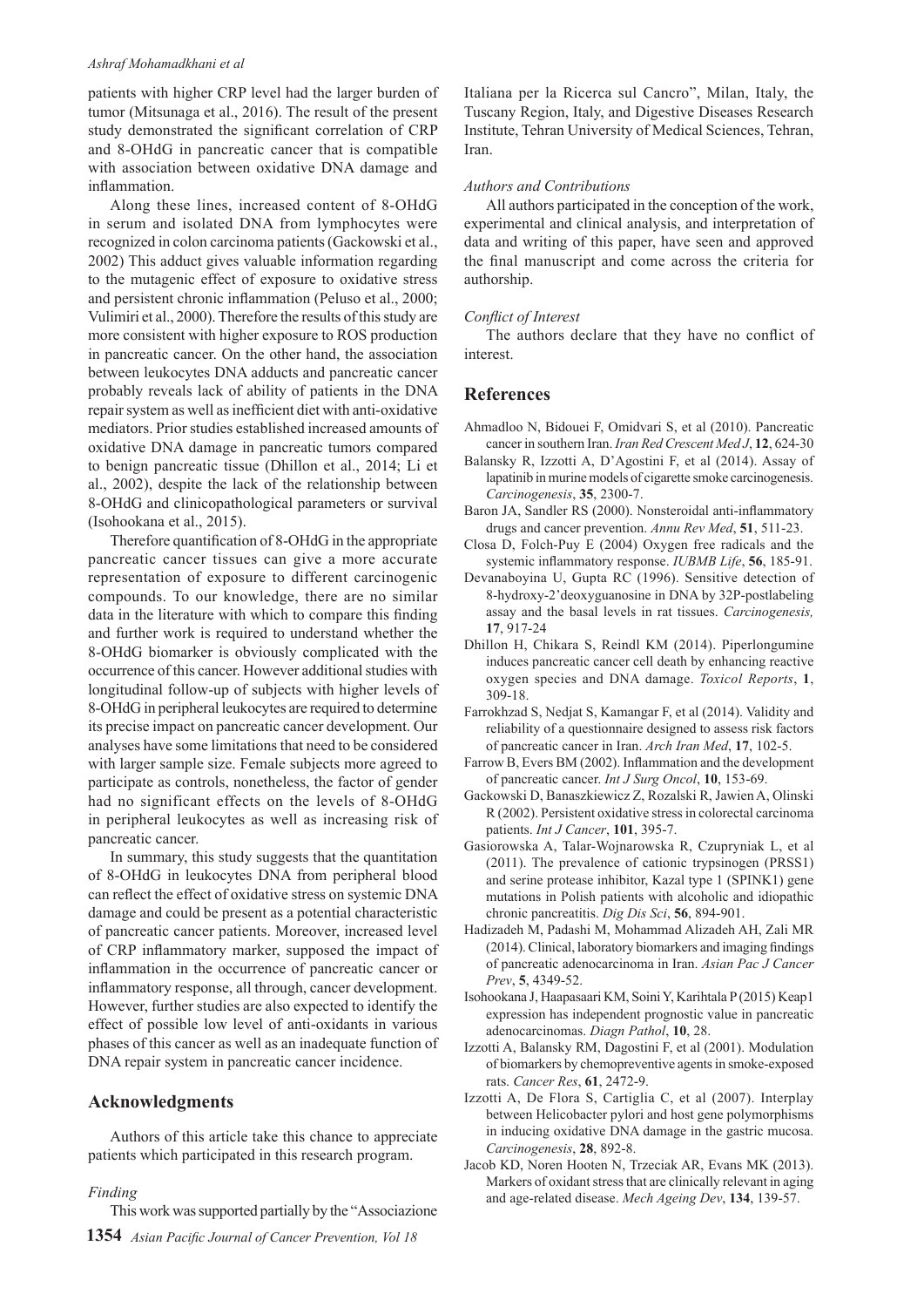#### *Ashraf Mohamadkhani et al*

patients with higher CRP level had the larger burden of tumor (Mitsunaga et al., 2016). The result of the present study demonstrated the significant correlation of CRP and 8-OHdG in pancreatic cancer that is compatible with association between oxidative DNA damage and inflammation.

Along these lines, increased content of 8-OHdG in serum and isolated DNA from lymphocytes were recognized in colon carcinoma patients (Gackowski et al., 2002) This adduct gives valuable information regarding to the mutagenic effect of exposure to oxidative stress and persistent chronic inflammation (Peluso et al., 2000; Vulimiri et al., 2000). Therefore the results of this study are more consistent with higher exposure to ROS production in pancreatic cancer. On the other hand, the association between leukocytes DNA adducts and pancreatic cancer probably reveals lack of ability of patients in the DNA repair system as well as inefficient diet with anti-oxidative mediators. Prior studies established increased amounts of oxidative DNA damage in pancreatic tumors compared to benign pancreatic tissue (Dhillon et al., 2014; Li et al., 2002), despite the lack of the relationship between 8-OHdG and clinicopathological parameters or survival (Isohookana et al., 2015).

Therefore quantification of 8-OHdG in the appropriate pancreatic cancer tissues can give a more accurate representation of exposure to different carcinogenic compounds. To our knowledge, there are no similar data in the literature with which to compare this finding and further work is required to understand whether the 8-OHdG biomarker is obviously complicated with the occurrence of this cancer. However additional studies with longitudinal follow-up of subjects with higher levels of 8-OHdG in peripheral leukocytes are required to determine its precise impact on pancreatic cancer development. Our analyses have some limitations that need to be considered with larger sample size. Female subjects more agreed to participate as controls, nonetheless, the factor of gender had no significant effects on the levels of 8-OHdG in peripheral leukocytes as well as increasing risk of pancreatic cancer.

In summary, this study suggests that the quantitation of 8-OHdG in leukocytes DNA from peripheral blood can reflect the effect of oxidative stress on systemic DNA damage and could be present as a potential characteristic of pancreatic cancer patients. Moreover, increased level of CRP inflammatory marker, supposed the impact of inflammation in the occurrence of pancreatic cancer or inflammatory response, all through, cancer development. However, further studies are also expected to identify the effect of possible low level of anti-oxidants in various phases of this cancer as well as an inadequate function of DNA repair system in pancreatic cancer incidence.

## **Acknowledgments**

Authors of this article take this chance to appreciate patients which participated in this research program.

#### *Finding*

**1354** *Asian Pacific Journal of Cancer Prevention, Vol 18* This work was supported partially by the "Associazione Italiana per la Ricerca sul Cancro", Milan, Italy, the Tuscany Region, Italy, and Digestive Diseases Research Institute, Tehran University of Medical Sciences, Tehran, Iran.

#### *Authors and Contributions*

All authors participated in the conception of the work, experimental and clinical analysis, and interpretation of data and writing of this paper, have seen and approved the final manuscript and come across the criteria for authorship.

#### *Conflict of Interest*

The authors declare that they have no conflict of interest.

## **References**

- Ahmadloo N, Bidouei F, Omidvari S, et al (2010). Pancreatic cancer in southern Iran. *Iran Red Crescent Med J*, **12**, 624-30
- Balansky R, Izzotti A, D'Agostini F, et al (2014). Assay of lapatinib in murine models of cigarette smoke carcinogenesis. *Carcinogenesis*, **35**, 2300-7.
- Baron JA, Sandler RS (2000). Nonsteroidal anti-inflammatory drugs and cancer prevention. *Annu Rev Med*, **51**, 511-23.
- Closa D, Folch-Puy E (2004) Oxygen free radicals and the systemic inflammatory response. *IUBMB Life*, **56**, 185-91.
- Devanaboyina U, Gupta RC (1996). Sensitive detection of 8-hydroxy-2'deoxyguanosine in DNA by 32P-postlabeling assay and the basal levels in rat tissues. *Carcinogenesis,*  **17**, 917-24
- Dhillon H, Chikara S, Reindl KM (2014). Piperlongumine induces pancreatic cancer cell death by enhancing reactive oxygen species and DNA damage. *Toxicol Reports*, **1**, 309-18.
- Farrokhzad S, Nedjat S, Kamangar F, et al (2014). Validity and reliability of a questionnaire designed to assess risk factors of pancreatic cancer in Iran. *Arch Iran Med*, **17**, 102-5.
- Farrow B, Evers BM (2002). Inflammation and the development of pancreatic cancer. *Int J Surg Oncol*, **10**, 153-69.
- Gackowski D, Banaszkiewicz Z, Rozalski R, Jawien A, Olinski R (2002). Persistent oxidative stress in colorectal carcinoma patients. *Int J Cancer*, **101**, 395-7.
- Gasiorowska A, Talar-Wojnarowska R, Czupryniak L, et al (2011). The prevalence of cationic trypsinogen (PRSS1) and serine protease inhibitor, Kazal type 1 (SPINK1) gene mutations in Polish patients with alcoholic and idiopathic chronic pancreatitis. *Dig Dis Sci*, **56**, 894-901.
- Hadizadeh M, Padashi M, Mohammad Alizadeh AH, Zali MR (2014). Clinical, laboratory biomarkers and imaging findings of pancreatic adenocarcinoma in Iran. *Asian Pac J Cancer Prev*, **5**, 4349-52.
- Isohookana J, Haapasaari KM, Soini Y, Karihtala P (2015) Keap1 expression has independent prognostic value in pancreatic adenocarcinomas. *Diagn Pathol*, **10**, 28.
- Izzotti A, Balansky RM, Dagostini F, et al (2001). Modulation of biomarkers by chemopreventive agents in smoke-exposed rats. *Cancer Res*, **61**, 2472-9.
- Izzotti A, De Flora S, Cartiglia C, et al (2007). Interplay between Helicobacter pylori and host gene polymorphisms in inducing oxidative DNA damage in the gastric mucosa. *Carcinogenesis*, **28**, 892-8.
- Jacob KD, Noren Hooten N, Trzeciak AR, Evans MK (2013). Markers of oxidant stress that are clinically relevant in aging and age-related disease. *Mech Ageing Dev*, **134**, 139-57.